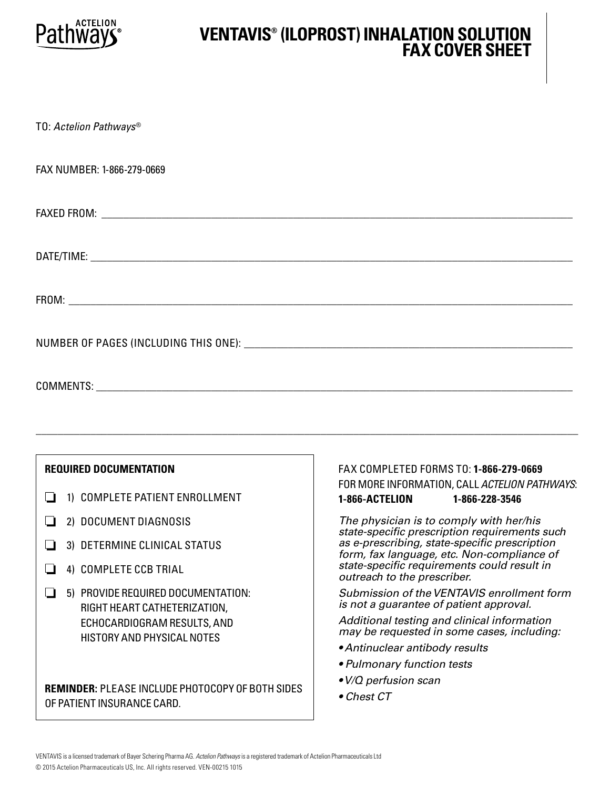

### **VENTAVIS® (ILOPROST) INHALATION SOLUTION FAX COVER SHEET**

TO: *Actelion Pathways*®

FAX NUMBER: 1-866-279-0669

FAXED FROM: \_\_\_\_\_\_\_\_\_\_\_\_\_\_\_\_\_\_\_\_\_\_\_\_\_\_\_\_\_\_\_\_\_\_\_\_\_\_\_\_\_\_\_\_\_\_\_\_\_\_\_\_\_\_\_\_\_\_\_\_\_\_\_\_\_\_\_\_\_\_\_\_\_\_\_\_\_\_\_\_\_\_\_\_\_\_

DATE/TIME: \_\_\_\_\_\_\_\_\_\_\_\_\_\_\_\_\_\_\_\_\_\_\_\_\_\_\_\_\_\_\_\_\_\_\_\_\_\_\_\_\_\_\_\_\_\_\_\_\_\_\_\_\_\_\_\_\_\_\_\_\_\_\_\_\_\_\_\_\_\_\_\_\_\_\_\_\_\_\_\_\_\_\_\_\_\_\_\_

FROM: which is a set of the set of the set of the set of the set of the set of the set of the set of the set of the set of the set of the set of the set of the set of the set of the set of the set of the set of the set of

NUMBER OF PAGES (INCLUDING THIS ONE): \_\_\_\_\_\_\_\_\_\_\_\_\_\_\_\_\_\_\_\_\_\_\_\_\_\_\_\_\_\_\_\_\_\_\_\_\_\_\_\_\_\_\_\_\_\_\_\_\_\_\_\_\_\_\_\_\_\_\_\_

COMMENTS: with a state of the state of the state of the state of the state of the state of the state of the state of the state of the state of the state of the state of the state of the state of the state of the state of t

### **REQUIRED DOCUMENTATION**

- 1) COMPLETE PATIENT ENROLLMENT
- 2) DOCUMENT DIAGNOSIS
- 3) DETERMINE CLINICAL STATUS
- 4) COMPLETE CCB TRIAL
- 5) PROVIDE REQUIRED DOCUMENTATION: RIGHT HEART CATHETERIZATION, ECHOCARDIOGRAM RESULTS, AND HISTORY AND PHYSICAL NOTES

**REMINDER:** PLEASE INCLUDE PHOTOCOPY OF BOTH SIDES OF PATIENT INSURANCE CARD.

### FAX COMPLETED FORMS TO: **1-866-279-0669**  FOR MORE INFORMATION, CALL *ACTELION PATHWAYS*: **1-866-ACTELION 1-866-228-3546**

*The physician is to comply with her/his state-specifc prescription requirements such as e-prescribing, state-specifc prescription form, fax language, etc. Non-compliance of state-specifc requirements could result in outreach to the prescriber.* 

*Submission of the VENTAVIS enrollment form is not a guarantee of patient approval.* 

*Additional testing and clinical information may be requested in some cases, including:* 

- *Antinuclear antibody results*
- *Pulmonary function tests*
- *V/Q perfusion scan*
- *Chest CT*

\_\_\_\_\_\_\_\_\_\_\_\_\_\_\_\_\_\_\_\_\_\_\_\_\_\_\_\_\_\_\_\_\_\_\_\_\_\_\_\_\_\_\_\_\_\_\_\_\_\_\_\_\_\_\_\_\_\_\_\_\_\_\_\_\_\_\_\_\_\_\_\_\_\_\_\_\_\_\_\_\_\_\_\_\_\_\_\_\_\_\_\_\_\_\_\_\_\_\_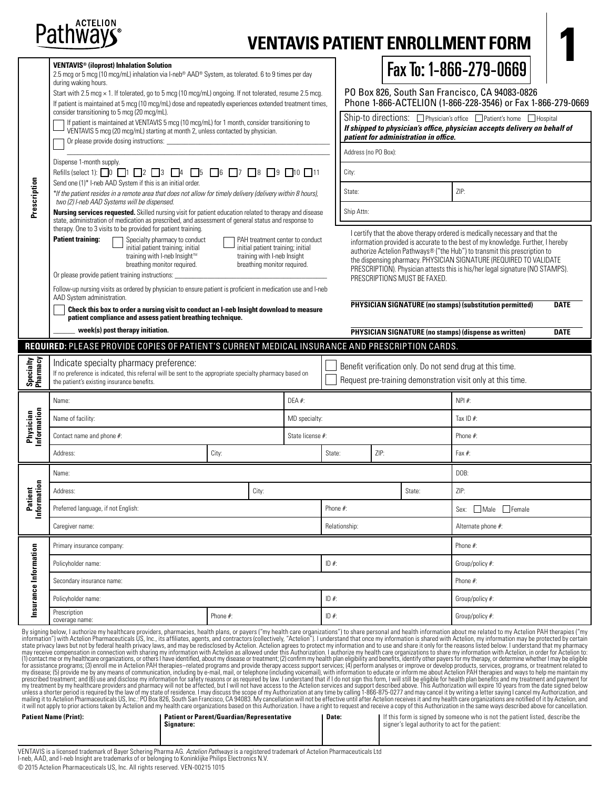

# **VENTAVIS PATIENT ENROLLMENT FOR**

| <b>VENTAVIS<sup>®</sup></b> (iloprost) Inhalation Solution<br>2.5 mcg or 5 mcg (10 mcg/mL) inhalation via I-neb® AAD® System, as tolerated. 6 to 9 times per day<br>during waking hours.<br>Start with 2.5 mcg × 1. If tolerated, go to 5 mcg (10 mcg/mL) ongoing. If not tolerated, resume 2.5 mcg.<br>If patient is maintained at 5 mcg (10 mcg/mL) dose and repeatedly experiences extended treatment times, |                                                                                                                                                                                                                                                                                       |          |                                                                                                 |                                 |                                                                                                                                                                                            | Fax To: 1-866-279-0669<br>PO Box 826, South San Francisco, CA 94083-0826<br>Phone 1-866-ACTELION (1-866-228-3546) or Fax 1-866-279-0669 |                              |                          |                                                                                                                                                                                                                                                                                                                                                                                                     |             |  |
|-----------------------------------------------------------------------------------------------------------------------------------------------------------------------------------------------------------------------------------------------------------------------------------------------------------------------------------------------------------------------------------------------------------------|---------------------------------------------------------------------------------------------------------------------------------------------------------------------------------------------------------------------------------------------------------------------------------------|----------|-------------------------------------------------------------------------------------------------|---------------------------------|--------------------------------------------------------------------------------------------------------------------------------------------------------------------------------------------|-----------------------------------------------------------------------------------------------------------------------------------------|------------------------------|--------------------------|-----------------------------------------------------------------------------------------------------------------------------------------------------------------------------------------------------------------------------------------------------------------------------------------------------------------------------------------------------------------------------------------------------|-------------|--|
|                                                                                                                                                                                                                                                                                                                                                                                                                 | consider transitioning to 5 mcg (20 mcg/mL).<br>If patient is maintained at VENTAVIS 5 mcg (10 mcg/mL) for 1 month, consider transitioning to<br>VENTAVIS 5 mcq (20 mcq/mL) starting at month 2, unless contacted by physician.<br>Or please provide dosing instructions:             |          |                                                                                                 |                                 | Ship-to directions: □ Physician's office □ Patient's home □ Hospital<br>If shipped to physician's office, physician accepts delivery on behalf of<br>patient for administration in office. |                                                                                                                                         |                              |                          |                                                                                                                                                                                                                                                                                                                                                                                                     |             |  |
|                                                                                                                                                                                                                                                                                                                                                                                                                 |                                                                                                                                                                                                                                                                                       |          |                                                                                                 |                                 | Address (no PO Box):                                                                                                                                                                       |                                                                                                                                         |                              |                          |                                                                                                                                                                                                                                                                                                                                                                                                     |             |  |
|                                                                                                                                                                                                                                                                                                                                                                                                                 | Dispense 1-month supply.<br>Refills (select 1): $\Box$ 0 $\Box$ 1 $\Box$ 2 $\Box$ 3 $\Box$ 4 $\Box$ 5 $\Box$ 6 $\Box$ 7 $\Box$ 8 $\Box$ 9 $\Box$ 10 $\Box$ 11<br>Send one (1)* I-neb AAD System if this is an initial order.                                                          |          |                                                                                                 |                                 | City:                                                                                                                                                                                      |                                                                                                                                         |                              |                          |                                                                                                                                                                                                                                                                                                                                                                                                     |             |  |
| Prescription                                                                                                                                                                                                                                                                                                                                                                                                    | *If the patient resides in a remote area that does not allow for timely delivery (delivery within 8 hours),<br>two (2) I-neb AAD Systems will be dispensed.                                                                                                                           |          |                                                                                                 |                                 | State:                                                                                                                                                                                     |                                                                                                                                         |                              | $\overline{\phantom{0}}$ | ZIP:                                                                                                                                                                                                                                                                                                                                                                                                |             |  |
|                                                                                                                                                                                                                                                                                                                                                                                                                 | <b>Nursing services requested.</b> Skilled nursing visit for patient education related to therapy and disease<br>state, administration of medication as prescribed, and assessment of general status and response to<br>therapy. One to 3 visits to be provided for patient training. |          |                                                                                                 |                                 | Ship Attn:                                                                                                                                                                                 |                                                                                                                                         |                              |                          |                                                                                                                                                                                                                                                                                                                                                                                                     |             |  |
|                                                                                                                                                                                                                                                                                                                                                                                                                 | <b>Patient training:</b><br>Specialty pharmacy to conduct<br>initial patient training; initial<br>training with I-neb Insight™<br>breathing monitor required.<br>Or please provide patient training instructions:                                                                     |          | initial patient training; initial<br>training with I-neb Insight<br>breathing monitor required. | PAH treatment center to conduct |                                                                                                                                                                                            |                                                                                                                                         | PRESCRIPTIONS MUST BE FAXED. |                          | I certify that the above therapy ordered is medically necessary and that the<br>information provided is accurate to the best of my knowledge. Further, I hereby<br>authorize Actelion Pathways® ("the Hub") to transmit this prescription to<br>the dispensing pharmacy. PHYSICIAN SIGNATURE (REQUIRED TO VALIDATE<br>PRESCRIPTION). Physician attests this is his/her legal signature (NO STAMPS). |             |  |
|                                                                                                                                                                                                                                                                                                                                                                                                                 | Follow-up nursing visits as ordered by physician to ensure patient is proficient in medication use and I-neb<br>AAD System administration.                                                                                                                                            |          |                                                                                                 |                                 |                                                                                                                                                                                            |                                                                                                                                         |                              |                          | PHYSICIAN SIGNATURE (no stamps) (substitution permitted)                                                                                                                                                                                                                                                                                                                                            | <b>DATE</b> |  |
|                                                                                                                                                                                                                                                                                                                                                                                                                 | Check this box to order a nursing visit to conduct an I-neb Insight download to measure<br>patient compliance and assess patient breathing technique.                                                                                                                                 |          |                                                                                                 |                                 |                                                                                                                                                                                            |                                                                                                                                         |                              |                          |                                                                                                                                                                                                                                                                                                                                                                                                     |             |  |
|                                                                                                                                                                                                                                                                                                                                                                                                                 | week(s) post therapy initiation.                                                                                                                                                                                                                                                      |          |                                                                                                 |                                 |                                                                                                                                                                                            |                                                                                                                                         |                              |                          | <b>PHYSICIAN SIGNATURE (no stamps) (dispense as written)</b>                                                                                                                                                                                                                                                                                                                                        | <b>DATE</b> |  |
|                                                                                                                                                                                                                                                                                                                                                                                                                 | REQUIRED: PLEASE PROVIDE COPIES OF PATIENT'S CURRENT MEDICAL INSURANCE AND PRESCRIPTION CARDS.                                                                                                                                                                                        |          |                                                                                                 |                                 |                                                                                                                                                                                            |                                                                                                                                         |                              |                          |                                                                                                                                                                                                                                                                                                                                                                                                     |             |  |
|                                                                                                                                                                                                                                                                                                                                                                                                                 |                                                                                                                                                                                                                                                                                       |          |                                                                                                 |                                 |                                                                                                                                                                                            |                                                                                                                                         |                              |                          |                                                                                                                                                                                                                                                                                                                                                                                                     |             |  |
| Specialty<br>Pharmacy                                                                                                                                                                                                                                                                                                                                                                                           | Indicate specialty pharmacy preference:<br>If no preference is indicated, this referral will be sent to the appropriate specialty pharmacy based on<br>the patient's existing insurance benefits.                                                                                     |          |                                                                                                 |                                 |                                                                                                                                                                                            |                                                                                                                                         |                              |                          | Benefit verification only. Do not send drug at this time.<br>Request pre-training demonstration visit only at this time.                                                                                                                                                                                                                                                                            |             |  |
|                                                                                                                                                                                                                                                                                                                                                                                                                 | Name:                                                                                                                                                                                                                                                                                 |          |                                                                                                 | $DEA#$ :                        |                                                                                                                                                                                            |                                                                                                                                         |                              |                          | NPI #:                                                                                                                                                                                                                                                                                                                                                                                              |             |  |
|                                                                                                                                                                                                                                                                                                                                                                                                                 | Name of facility:                                                                                                                                                                                                                                                                     |          |                                                                                                 | MD specialty:                   |                                                                                                                                                                                            |                                                                                                                                         |                              |                          | Tax ID $#$ :                                                                                                                                                                                                                                                                                                                                                                                        |             |  |
|                                                                                                                                                                                                                                                                                                                                                                                                                 | Contact name and phone #:                                                                                                                                                                                                                                                             |          |                                                                                                 | State license #:                |                                                                                                                                                                                            |                                                                                                                                         |                              |                          | Phone #:                                                                                                                                                                                                                                                                                                                                                                                            |             |  |
| <b>Physician</b><br>Information                                                                                                                                                                                                                                                                                                                                                                                 | Address:                                                                                                                                                                                                                                                                              | City:    |                                                                                                 |                                 | ▼∥<br>State:                                                                                                                                                                               | ZIP:                                                                                                                                    |                              |                          | Fax $#$ :                                                                                                                                                                                                                                                                                                                                                                                           |             |  |
|                                                                                                                                                                                                                                                                                                                                                                                                                 | Name:                                                                                                                                                                                                                                                                                 |          |                                                                                                 |                                 |                                                                                                                                                                                            |                                                                                                                                         |                              |                          | DOB:                                                                                                                                                                                                                                                                                                                                                                                                |             |  |
|                                                                                                                                                                                                                                                                                                                                                                                                                 | Address:                                                                                                                                                                                                                                                                              |          | City:                                                                                           |                                 |                                                                                                                                                                                            |                                                                                                                                         | State:                       | $\overline{\phantom{0}}$ | ZIP:                                                                                                                                                                                                                                                                                                                                                                                                |             |  |
|                                                                                                                                                                                                                                                                                                                                                                                                                 | Preferred language, if not English:                                                                                                                                                                                                                                                   |          |                                                                                                 |                                 | Phone #:                                                                                                                                                                                   |                                                                                                                                         |                              |                          | Male Female<br>Sex:                                                                                                                                                                                                                                                                                                                                                                                 |             |  |
| Patient<br>Information                                                                                                                                                                                                                                                                                                                                                                                          | Caregiver name:                                                                                                                                                                                                                                                                       |          |                                                                                                 |                                 | Relationship:                                                                                                                                                                              |                                                                                                                                         |                              |                          | Alternate phone #:                                                                                                                                                                                                                                                                                                                                                                                  |             |  |
|                                                                                                                                                                                                                                                                                                                                                                                                                 | Primary insurance company:                                                                                                                                                                                                                                                            |          |                                                                                                 |                                 |                                                                                                                                                                                            |                                                                                                                                         |                              |                          | Phone #:                                                                                                                                                                                                                                                                                                                                                                                            |             |  |
|                                                                                                                                                                                                                                                                                                                                                                                                                 | Policyholder name:                                                                                                                                                                                                                                                                    |          |                                                                                                 |                                 | ID#                                                                                                                                                                                        |                                                                                                                                         |                              |                          | Group/policy #:                                                                                                                                                                                                                                                                                                                                                                                     |             |  |
|                                                                                                                                                                                                                                                                                                                                                                                                                 | Secondary insurance name:                                                                                                                                                                                                                                                             |          |                                                                                                 |                                 |                                                                                                                                                                                            |                                                                                                                                         |                              |                          | Phone #:                                                                                                                                                                                                                                                                                                                                                                                            |             |  |
|                                                                                                                                                                                                                                                                                                                                                                                                                 | Policyholder name:                                                                                                                                                                                                                                                                    |          |                                                                                                 |                                 | ID#                                                                                                                                                                                        |                                                                                                                                         |                              |                          | Group/policy #:                                                                                                                                                                                                                                                                                                                                                                                     |             |  |
| Insurance Information                                                                                                                                                                                                                                                                                                                                                                                           | Prescription<br>coverage name:                                                                                                                                                                                                                                                        | Phone #: |                                                                                                 |                                 | ID#                                                                                                                                                                                        |                                                                                                                                         |                              |                          | Group/policy #:                                                                                                                                                                                                                                                                                                                                                                                     |             |  |

By signing below. I authrize in prelations, pharmaceuticals US, hc., its affiliates, apents, heat pharmaceutical about mer promations") to share presonal and health information about me related to my Actelion PAH therapies

| <b>Patient Name (Print):</b> |  |
|------------------------------|--|
|------------------------------|--|

| Patient Name (Print): | Patient or Parent/Guardian/Representative<br><b>I</b> Signature: |
|-----------------------|------------------------------------------------------------------|
|                       |                                                                  |

**Date: I** If this form is signed by someone who is not the patient listed, describe the signer's legal authority to act for the patient:

VENTAVIS is a licensed trademark of Bayer Schering Pharma AG*. Actelion Pathways* is a registered trademark of Actelion Pharmaceuticals Ltd<br>I-neb, AAD, and I-neb Insight are trademarks of or belonging to Koninklijke Philip © 2015 Actelion Pharmaceuticals US, Inc. All rights reserved. VEN-00215 1015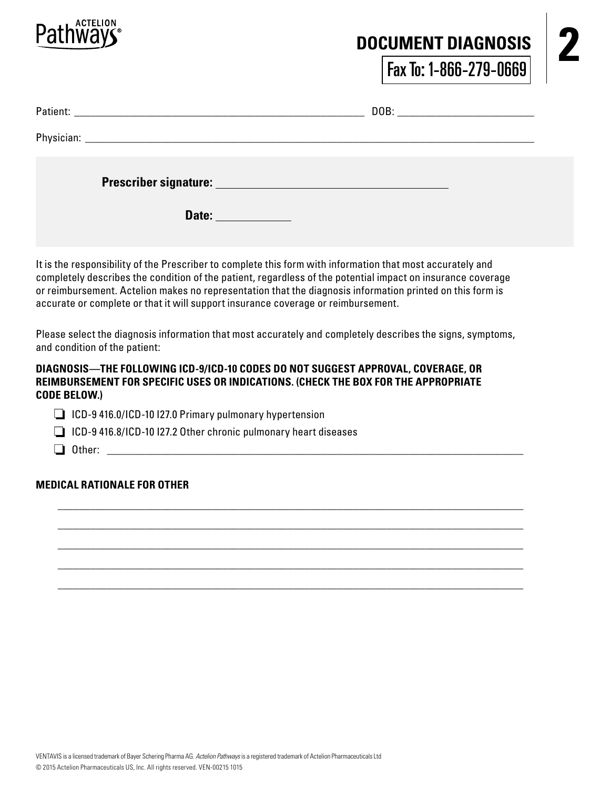

### **2 DOCUMENT DIAGNOSIS**

Fax To: 1-866-279-0669

|  | Date: <u>______________</u> |  |
|--|-----------------------------|--|

It is the responsibility of the Prescriber to complete this form with information that most accurately and completely describes the condition of the patient, regardless of the potential impact on insurance coverage or reimbursement. Actelion makes no representation that the diagnosis information printed on this form is accurate or complete or that it will support insurance coverage or reimbursement.

Please select the diagnosis information that most accurately and completely describes the signs, symptoms, and condition of the patient:

 \_\_\_\_\_\_\_\_\_\_\_\_\_\_\_\_\_\_\_\_\_\_\_\_\_\_\_\_\_\_\_\_\_\_\_\_\_\_\_\_\_\_\_\_\_\_\_\_\_\_\_\_\_\_\_\_\_\_\_\_\_\_\_\_\_\_\_\_\_\_\_\_\_\_\_\_\_\_\_\_\_\_\_\_\_ \_\_\_\_\_\_\_\_\_\_\_\_\_\_\_\_\_\_\_\_\_\_\_\_\_\_\_\_\_\_\_\_\_\_\_\_\_\_\_\_\_\_\_\_\_\_\_\_\_\_\_\_\_\_\_\_\_\_\_\_\_\_\_\_\_\_\_\_\_\_\_\_\_\_\_\_\_\_\_\_\_\_\_\_\_ \_\_\_\_\_\_\_\_\_\_\_\_\_\_\_\_\_\_\_\_\_\_\_\_\_\_\_\_\_\_\_\_\_\_\_\_\_\_\_\_\_\_\_\_\_\_\_\_\_\_\_\_\_\_\_\_\_\_\_\_\_\_\_\_\_\_\_\_\_\_\_\_\_\_\_\_\_\_\_\_\_\_\_\_\_ \_\_\_\_\_\_\_\_\_\_\_\_\_\_\_\_\_\_\_\_\_\_\_\_\_\_\_\_\_\_\_\_\_\_\_\_\_\_\_\_\_\_\_\_\_\_\_\_\_\_\_\_\_\_\_\_\_\_\_\_\_\_\_\_\_\_\_\_\_\_\_\_\_\_\_\_\_\_\_\_\_\_\_\_\_

\_\_\_\_\_\_\_\_\_\_\_\_\_\_\_\_\_\_\_\_\_\_\_\_\_\_\_\_\_\_\_\_\_\_\_\_\_\_\_\_\_\_\_\_\_\_\_\_\_\_\_\_\_\_\_\_\_\_\_\_\_\_\_\_\_\_\_\_\_\_\_\_\_\_\_\_\_\_\_\_\_\_\_\_\_

### **DIAGNOSIS—THE FOLLOWING ICD-9/ICD-10 CODES DO NOT SUGGEST APPROVAL, COVERAGE, OR REIMBURSEMENT FOR SPECIFIC USES OR INDICATIONS. (CHECK THE BOX FOR THE APPROPRIATE CODE BELOW.)**

ICD-9 416.0/ICD-10 I27.0 Primary pulmonary hypertension

- $\Box$  ICD-9 416.8/ICD-10 I27.2 Other chronic pulmonary heart diseases
- $\Box$  Other:

### **MEDICAL RATIONALE FOR OTHER**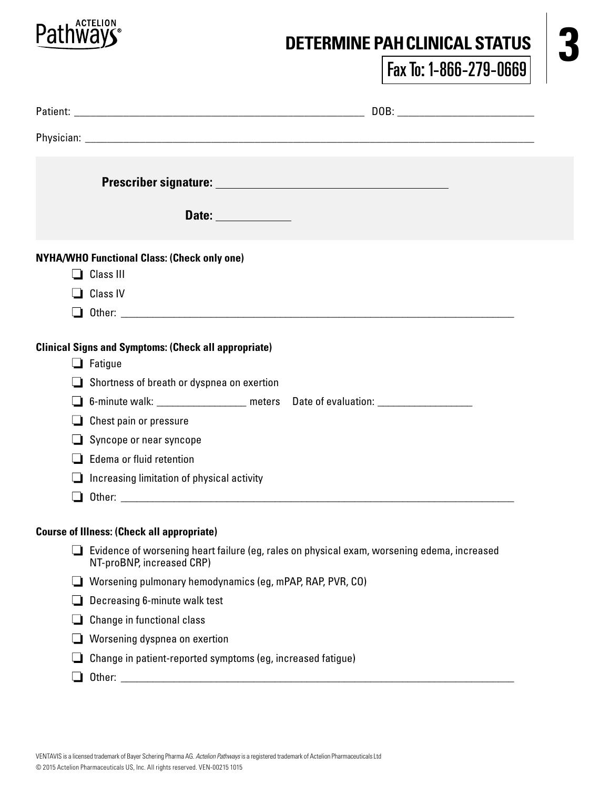

# DETERMINE PAH CLINICAL STATUS **3**

Fax To: 1-866-279-0669

|   | Date: ______________                                                                                                     |
|---|--------------------------------------------------------------------------------------------------------------------------|
|   | <b>NYHA/WHO Functional Class: (Check only one)</b>                                                                       |
|   | $\Box$ Class III                                                                                                         |
|   | $\Box$ Class IV                                                                                                          |
|   |                                                                                                                          |
|   |                                                                                                                          |
|   | <b>Clinical Signs and Symptoms: (Check all appropriate)</b><br>$\Box$ Fatigue                                            |
|   | $\Box$ Shortness of breath or dyspnea on exertion                                                                        |
|   | 6-minute walk: ____________________ meters Date of evaluation: _________________                                         |
| ப | Chest pain or pressure                                                                                                   |
|   | Syncope or near syncope                                                                                                  |
|   | Edema or fluid retention                                                                                                 |
|   | Increasing limitation of physical activity                                                                               |
|   |                                                                                                                          |
|   | <b>Course of Illness: (Check all appropriate)</b>                                                                        |
|   | Evidence of worsening heart failure (eg, rales on physical exam, worsening edema, increased<br>NT-proBNP, increased CRP) |
|   | Worsening pulmonary hemodynamics (eg, mPAP, RAP, PVR, CO)                                                                |
|   | Decreasing 6-minute walk test                                                                                            |
|   | Change in functional class                                                                                               |
|   | Worsening dyspnea on exertion                                                                                            |
|   | Change in patient-reported symptoms (eg, increased fatigue)                                                              |
| ப | Other: _________                                                                                                         |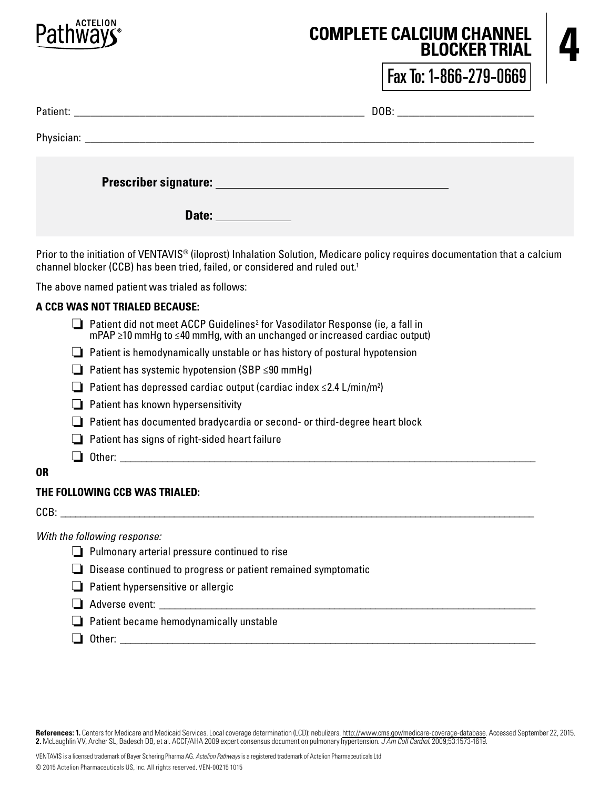

## **4 COMPLETE CALCIUM CHANNEL**<br>**ELOCKER TRIAL BLOCKER TRIAL**

Fax To: 1-866-279-0669

|  | Date: ______________ |  |
|--|----------------------|--|

Prior to the initiation of VENTAVIS® (iloprost) Inhalation Solution, Medicare policy requires documentation that a calcium channel blocker (CCB) has been tried, failed, or considered and ruled out.<sup>1</sup>

The above named patient was trialed as follows:

### **A CCB WAS NOT TRIALED BECAUSE:**

- Patient did not meet ACCP Guidelines<sup>2</sup> for Vasodilator Response (ie, a fall in mPAP ≥10 mmHg to ≤40 mmHg, with an unchanged or increased cardiac output)  $\Box$  Patient is hemodynamically unstable or has history of postural hypotension
- Patient has systemic hypotension (SBP ≤90 mmHg)
- Patient has depressed cardiac output (cardiac index ≤2.4 L/min/m2 )
- $\Box$  Patient has known hypersensitivity
- $\Box$  Patient has documented bradycardia or second- or third-degree heart block
- $\Box$  Patient has signs of right-sided heart failure
- $\Box$  Other:
- **OR**

### **THE FOLLOWING CCB WAS TRIALED:**

 $CCB:$ 

*With the following response:* 

- **Pulmonary arterial pressure continued to rise**
- Disease continued to progress or patient remained symptomatic
- $\Box$  Patient hypersensitive or allergic
- $\Box$  Adverse event:
- $\Box$  Patient became hemodynamically unstable
- Other: \_\_\_\_\_\_\_\_\_\_\_\_\_\_\_\_\_\_\_\_\_\_\_\_\_\_\_\_\_\_\_\_\_\_\_\_\_\_\_\_\_\_\_\_\_\_\_\_\_\_\_\_\_\_\_\_\_\_\_\_\_\_\_\_\_\_\_\_\_\_\_\_\_\_\_\_\_\_\_

References: 1. Centers for Medicare and Medicaid Services. Local coverage determination (LCD): nebulizers. http://www.cms.gov/medicare-coverage-database. Accessed September 22, 2015. **2.** McLaughlin VV, Archer SL, Badesch DB, et al. ACCF/AHA 2009 expert consensus document on pulmonary hypertension. *J Am Coll Cardiol.* 2009;53:1573-1619.